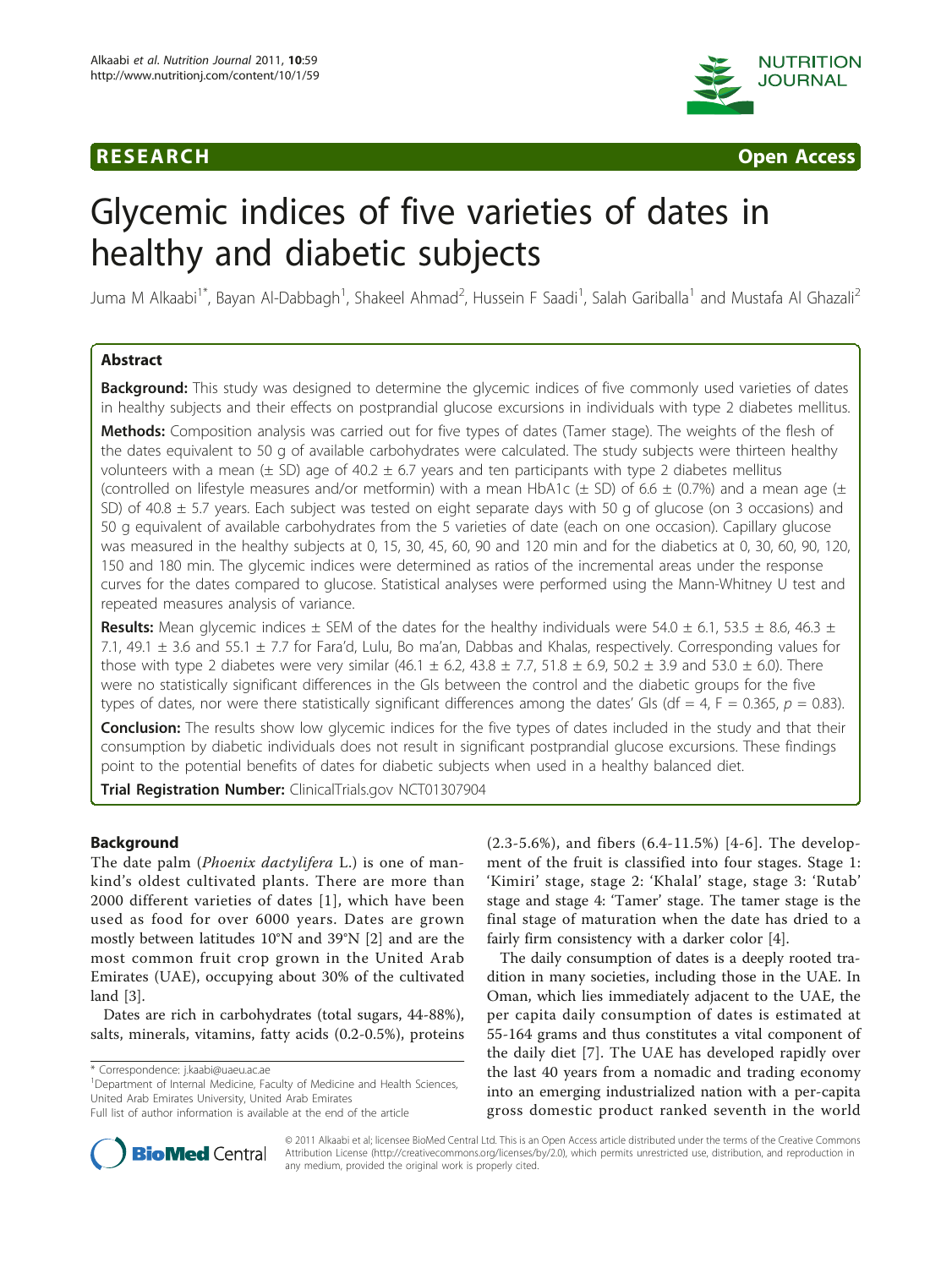



# Glycemic indices of five varieties of dates in healthy and diabetic subjects

Juma M Alkaabi<sup>1\*</sup>, Bayan Al-Dabbagh<sup>1</sup>, Shakeel Ahmad<sup>2</sup>, Hussein F Saadi<sup>1</sup>, Salah Gariballa<sup>1</sup> and Mustafa Al Ghazali<sup>2</sup>

# Abstract

**Background:** This study was designed to determine the glycemic indices of five commonly used varieties of dates in healthy subjects and their effects on postprandial glucose excursions in individuals with type 2 diabetes mellitus.

Methods: Composition analysis was carried out for five types of dates (Tamer stage). The weights of the flesh of the dates equivalent to 50 g of available carbohydrates were calculated. The study subjects were thirteen healthy volunteers with a mean ( $\pm$  SD) age of 40.2  $\pm$  6.7 years and ten participants with type 2 diabetes mellitus (controlled on lifestyle measures and/or metformin) with a mean HbA1c ( $\pm$  SD) of 6.6  $\pm$  (0.7%) and a mean age ( $\pm$ SD) of 40.8 ± 5.7 years. Each subject was tested on eight separate days with 50 g of glucose (on 3 occasions) and 50 g equivalent of available carbohydrates from the 5 varieties of date (each on one occasion). Capillary glucose was measured in the healthy subjects at 0, 15, 30, 45, 60, 90 and 120 min and for the diabetics at 0, 30, 60, 90, 120, 150 and 180 min. The glycemic indices were determined as ratios of the incremental areas under the response curves for the dates compared to glucose. Statistical analyses were performed using the Mann-Whitney U test and repeated measures analysis of variance.

**Results:** Mean glycemic indices  $\pm$  SEM of the dates for the healthy individuals were 54.0  $\pm$  6.1, 53.5  $\pm$  8.6, 46.3  $\pm$ 7.1, 49.1 ± 3.6 and 55.1 ± 7.7 for Fara'd, Lulu, Bo ma'an, Dabbas and Khalas, respectively. Corresponding values for those with type 2 diabetes were very similar (46.1  $\pm$  6.2, 43.8  $\pm$  7.7, 51.8  $\pm$  6.9, 50.2  $\pm$  3.9 and 53.0  $\pm$  6.0). There were no statistically significant differences in the GIs between the control and the diabetic groups for the five types of dates, nor were there statistically significant differences among the dates' GIs (df = 4, F = 0.365,  $p = 0.83$ ).

Conclusion: The results show low glycemic indices for the five types of dates included in the study and that their consumption by diabetic individuals does not result in significant postprandial glucose excursions. These findings point to the potential benefits of dates for diabetic subjects when used in a healthy balanced diet.

Trial Registration Number: ClinicalTrials.gov [NCT01307904](http://www.clinicaltrials.gov/ct2/show/NCT01307904)

# Background

The date palm (Phoenix dactylifera L.) is one of mankind's oldest cultivated plants. There are more than 2000 different varieties of dates [[1](#page-7-0)], which have been used as food for over 6000 years. Dates are grown mostly between latitudes 10°N and 39°N [[2\]](#page-7-0) and are the most common fruit crop grown in the United Arab Emirates (UAE), occupying about 30% of the cultivated land [[3](#page-7-0)].

Dates are rich in carbohydrates (total sugars, 44-88%), salts, minerals, vitamins, fatty acids (0.2-0.5%), proteins

\* Correspondence: [j.kaabi@uaeu.ac.ae](mailto:j.kaabi@uaeu.ac.ae)

<sup>1</sup>Department of Internal Medicine, Faculty of Medicine and Health Sciences, United Arab Emirates University, United Arab Emirates

(2.3-5.6%), and fibers (6.4-11.5%) [[4](#page-7-0)-[6](#page-7-0)]. The development of the fruit is classified into four stages. Stage 1: 'Kimiri' stage, stage 2: 'Khalal' stage, stage 3: 'Rutab' stage and stage 4: 'Tamer' stage. The tamer stage is the final stage of maturation when the date has dried to a fairly firm consistency with a darker color [[4\]](#page-7-0).

The daily consumption of dates is a deeply rooted tradition in many societies, including those in the UAE. In Oman, which lies immediately adjacent to the UAE, the per capita daily consumption of dates is estimated at 55-164 grams and thus constitutes a vital component of the daily diet [\[7](#page-7-0)]. The UAE has developed rapidly over the last 40 years from a nomadic and trading economy into an emerging industrialized nation with a per-capita gross domestic product ranked seventh in the world



© 2011 Alkaabi et al; licensee BioMed Central Ltd. This is an Open Access article distributed under the terms of the Creative Commons Attribution License [\(http://creativecommons.org/licenses/by/2.0](http://creativecommons.org/licenses/by/2.0)), which permits unrestricted use, distribution, and reproduction in any medium, provided the original work is properly cited.

Full list of author information is available at the end of the article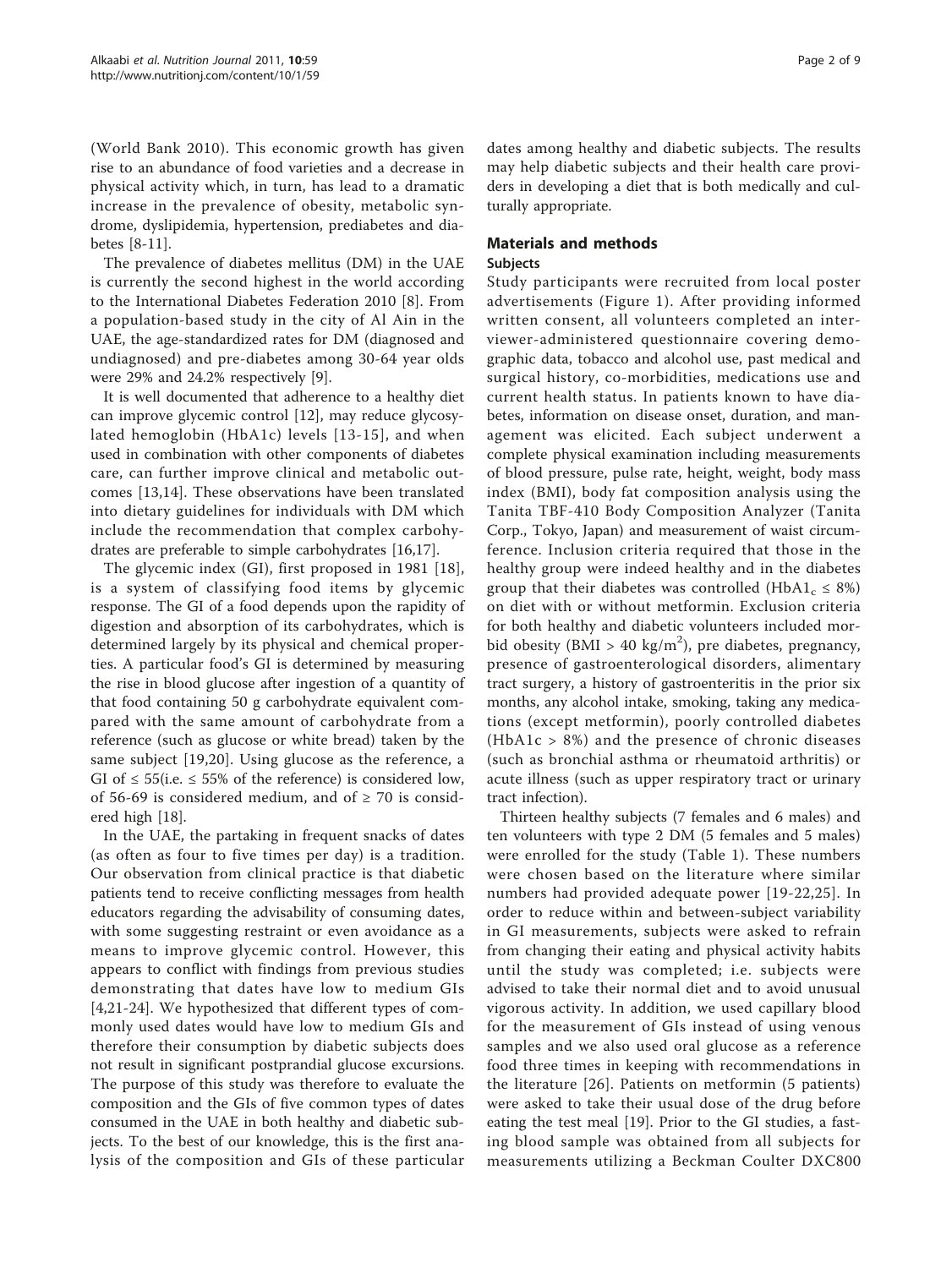(World Bank 2010). This economic growth has given rise to an abundance of food varieties and a decrease in physical activity which, in turn, has lead to a dramatic increase in the prevalence of obesity, metabolic syndrome, dyslipidemia, hypertension, prediabetes and diabetes [[8-11](#page-7-0)].

The prevalence of diabetes mellitus (DM) in the UAE is currently the second highest in the world according to the International Diabetes Federation 2010 [[8\]](#page-7-0). From a population-based study in the city of Al Ain in the UAE, the age-standardized rates for DM (diagnosed and undiagnosed) and pre-diabetes among 30-64 year olds were 29% and 24.2% respectively [[9\]](#page-7-0).

It is well documented that adherence to a healthy diet can improve glycemic control [\[12](#page-7-0)], may reduce glycosylated hemoglobin (HbA1c) levels [[13-15\]](#page-7-0), and when used in combination with other components of diabetes care, can further improve clinical and metabolic outcomes [[13,14\]](#page-7-0). These observations have been translated into dietary guidelines for individuals with DM which include the recommendation that complex carbohydrates are preferable to simple carbohydrates [\[16,17\]](#page-7-0).

The glycemic index (GI), first proposed in 1981 [[18](#page-7-0)], is a system of classifying food items by glycemic response. The GI of a food depends upon the rapidity of digestion and absorption of its carbohydrates, which is determined largely by its physical and chemical properties. A particular food's GI is determined by measuring the rise in blood glucose after ingestion of a quantity of that food containing 50 g carbohydrate equivalent compared with the same amount of carbohydrate from a reference (such as glucose or white bread) taken by the same subject [[19](#page-7-0),[20\]](#page-7-0). Using glucose as the reference, a GI of  $\leq$  55(i.e.  $\leq$  55% of the reference) is considered low, of 56-69 is considered medium, and of  $\geq$  70 is considered high [[18\]](#page-7-0).

In the UAE, the partaking in frequent snacks of dates (as often as four to five times per day) is a tradition. Our observation from clinical practice is that diabetic patients tend to receive conflicting messages from health educators regarding the advisability of consuming dates, with some suggesting restraint or even avoidance as a means to improve glycemic control. However, this appears to conflict with findings from previous studies demonstrating that dates have low to medium GIs [[4,21](#page-7-0)-[24\]](#page-7-0). We hypothesized that different types of commonly used dates would have low to medium GIs and therefore their consumption by diabetic subjects does not result in significant postprandial glucose excursions. The purpose of this study was therefore to evaluate the composition and the GIs of five common types of dates consumed in the UAE in both healthy and diabetic subjects. To the best of our knowledge, this is the first analysis of the composition and GIs of these particular dates among healthy and diabetic subjects. The results may help diabetic subjects and their health care providers in developing a diet that is both medically and culturally appropriate.

# Materials and methods

# Subjects

Study participants were recruited from local poster advertisements (Figure [1\)](#page-2-0). After providing informed written consent, all volunteers completed an interviewer-administered questionnaire covering demographic data, tobacco and alcohol use, past medical and surgical history, co-morbidities, medications use and current health status. In patients known to have diabetes, information on disease onset, duration, and management was elicited. Each subject underwent a complete physical examination including measurements of blood pressure, pulse rate, height, weight, body mass index (BMI), body fat composition analysis using the Tanita TBF-410 Body Composition Analyzer (Tanita Corp., Tokyo, Japan) and measurement of waist circumference. Inclusion criteria required that those in the healthy group were indeed healthy and in the diabetes group that their diabetes was controlled (HbA1<sub>c</sub>  $\leq$  8%) on diet with or without metformin. Exclusion criteria for both healthy and diabetic volunteers included morbid obesity (BMI > 40 kg/m<sup>2</sup>), pre diabetes, pregnancy, presence of gastroenterological disorders, alimentary tract surgery, a history of gastroenteritis in the prior six months, any alcohol intake, smoking, taking any medications (except metformin), poorly controlled diabetes (HbA1c > 8%) and the presence of chronic diseases (such as bronchial asthma or rheumatoid arthritis) or acute illness (such as upper respiratory tract or urinary tract infection).

Thirteen healthy subjects (7 females and 6 males) and ten volunteers with type 2 DM (5 females and 5 males) were enrolled for the study (Table [1\)](#page-2-0). These numbers were chosen based on the literature where similar numbers had provided adequate power [[19](#page-7-0)-[22](#page-7-0),[25](#page-7-0)]. In order to reduce within and between-subject variability in GI measurements, subjects were asked to refrain from changing their eating and physical activity habits until the study was completed; i.e. subjects were advised to take their normal diet and to avoid unusual vigorous activity. In addition, we used capillary blood for the measurement of GIs instead of using venous samples and we also used oral glucose as a reference food three times in keeping with recommendations in the literature [\[26\]](#page-7-0). Patients on metformin (5 patients) were asked to take their usual dose of the drug before eating the test meal [[19\]](#page-7-0). Prior to the GI studies, a fasting blood sample was obtained from all subjects for measurements utilizing a Beckman Coulter DXC800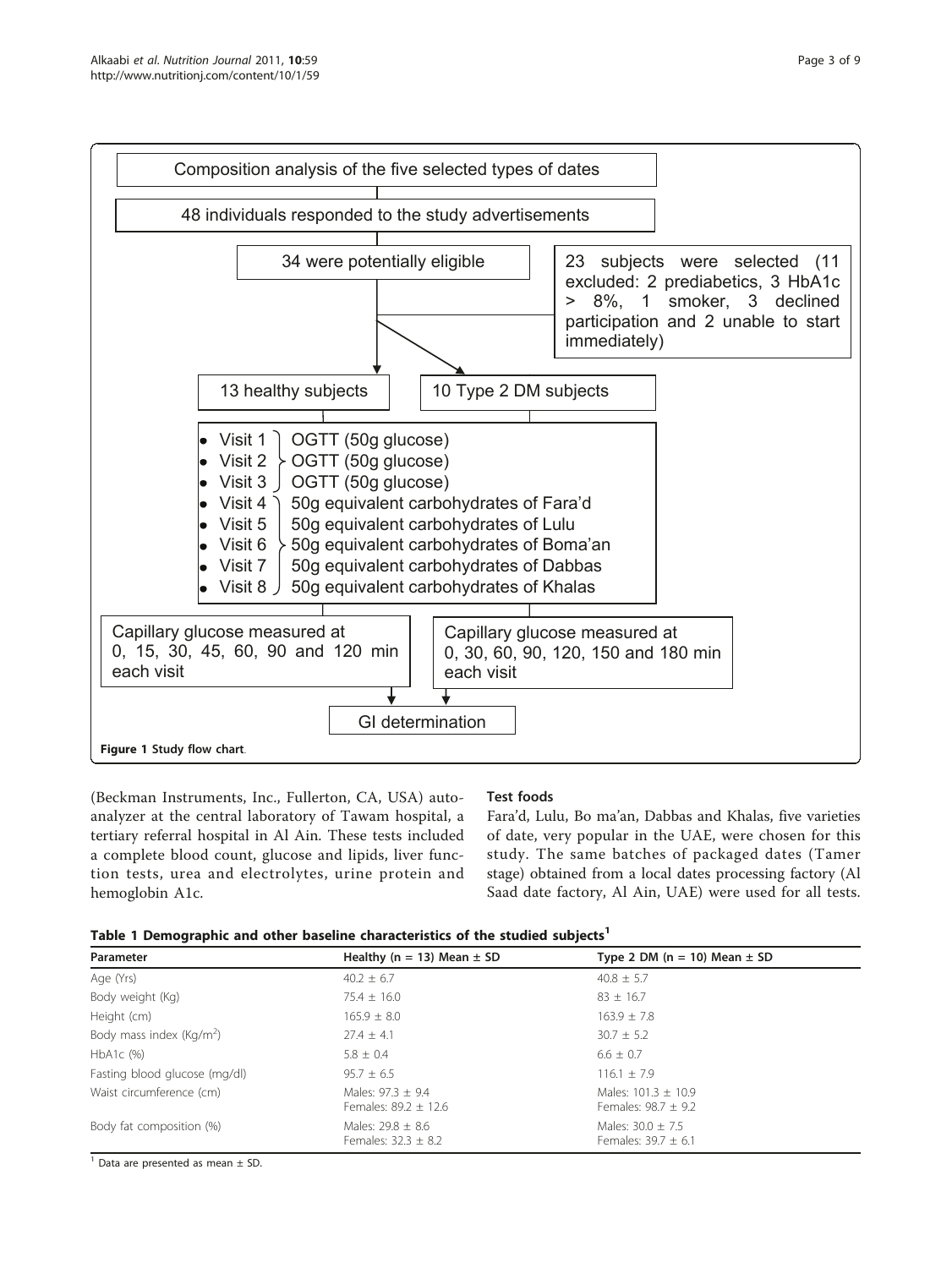<span id="page-2-0"></span>

(Beckman Instruments, Inc., Fullerton, CA, USA) autoanalyzer at the central laboratory of Tawam hospital, a tertiary referral hospital in Al Ain. These tests included a complete blood count, glucose and lipids, liver function tests, urea and electrolytes, urine protein and hemoglobin A1c.

# Test foods

Fara'd, Lulu, Bo ma'an, Dabbas and Khalas, five varieties of date, very popular in the UAE, were chosen for this study. The same batches of packaged dates (Tamer stage) obtained from a local dates processing factory (Al Saad date factory, Al Ain, UAE) were used for all tests.

|  |  |  | Table 1 Demographic and other baseline characteristics of the studied subjects <sup>1</sup> |  |  |  |
|--|--|--|---------------------------------------------------------------------------------------------|--|--|--|
|  |  |  |                                                                                             |  |  |  |

| Parameter                            | Healthy (n = 13) Mean $\pm$ SD                    | Type 2 DM ( $n = 10$ ) Mean $\pm$ SD             |
|--------------------------------------|---------------------------------------------------|--------------------------------------------------|
| Age (Yrs)                            | $40.2 \pm 6.7$                                    | $40.8 \pm 5.7$                                   |
| Body weight (Kg)                     | $75.4 \pm 16.0$                                   | $83 \pm 16.7$                                    |
| Height (cm)                          | $165.9 \pm 8.0$                                   | $163.9 + 7.8$                                    |
| Body mass index (Kg/m <sup>2</sup> ) | $27.4 + 4.1$                                      | $30.7 \pm 5.2$                                   |
| $HbA1c$ (%)                          | $5.8 \pm 0.4$                                     | $6.6 \pm 0.7$                                    |
| Fasting blood glucose (mg/dl)        | $95.7 \pm 6.5$                                    | $116.1 \pm 7.9$                                  |
| Waist circumference (cm)             | Males: $97.3 \pm 9.4$<br>Females: $89.2 \pm 12.6$ | Males: $101.3 + 10.9$<br>Females: $98.7 \pm 9.2$ |
| Body fat composition (%)             | Males: 29.8 + 8.6<br>Females: $32.3 \pm 8.2$      | Males: $30.0 + 7.5$<br>Females: $39.7 \pm 6.1$   |

 $1$  Data are presented as mean  $\pm$  SD.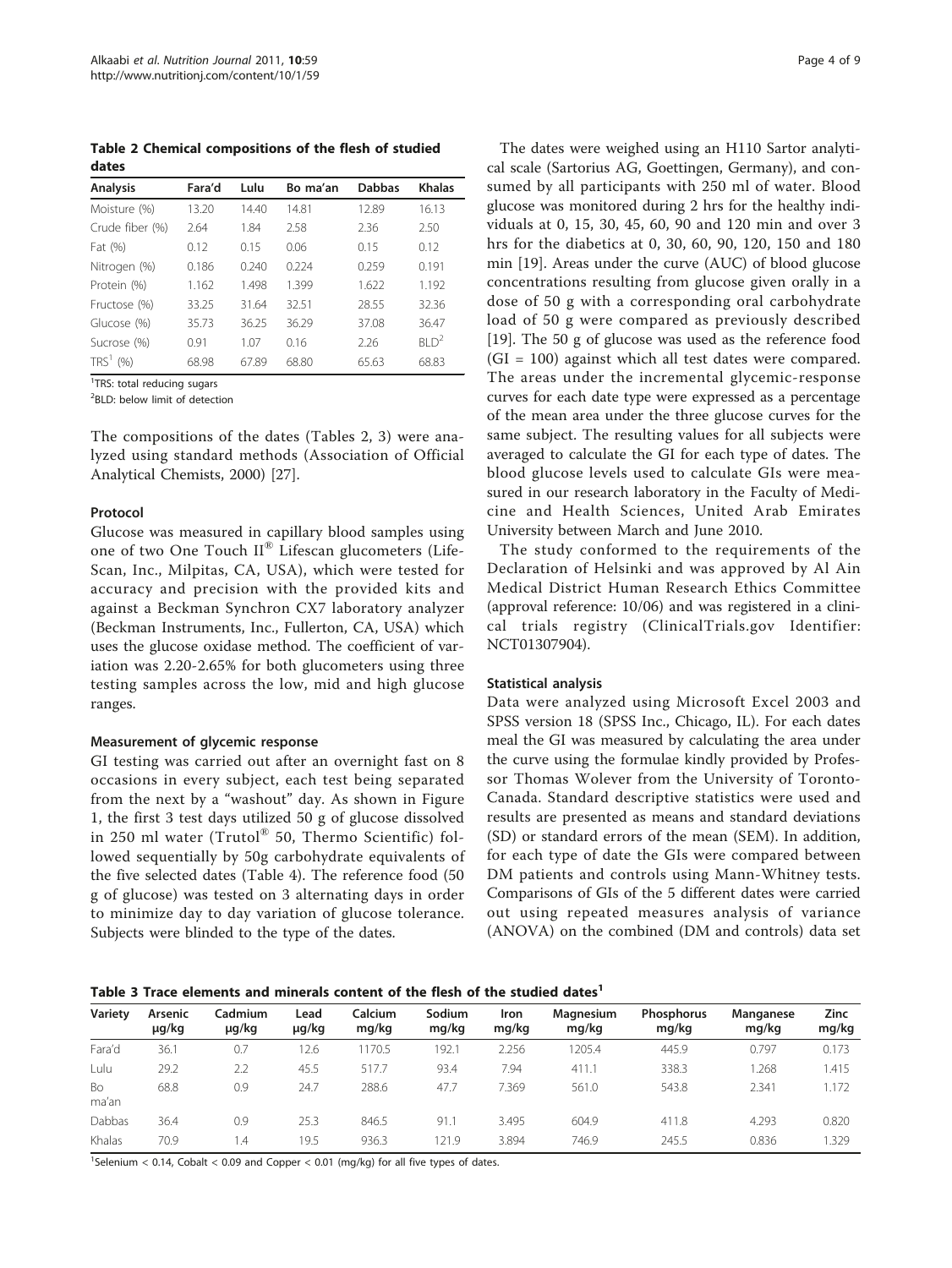<span id="page-3-0"></span>Table 2 Chemical compositions of the flesh of studied dates

| <b>Analysis</b> | Fara'd | Lulu  | Bo ma'an | <b>Dabbas</b> | <b>Khalas</b>                |
|-----------------|--------|-------|----------|---------------|------------------------------|
| Moisture (%)    | 13.20  | 14.40 | 14.81    | 12.89         | 16.13                        |
| Crude fiber (%) | 2.64   | 1.84  | 2.58     | 2.36          | 2.50                         |
| Fat (%)         | 0.12   | 0.15  | 0.06     | 0.15          | 0.12                         |
| Nitrogen (%)    | 0.186  | 0.240 | 0.224    | 0.259         | 0.191                        |
| Protein (%)     | 1.162  | 1.498 | 1.399    | 1.622         | 1.192                        |
| Fructose (%)    | 33.25  | 31.64 | 32.51    | 28.55         | 32.36                        |
| Glucose (%)     | 35.73  | 36.25 | 36.29    | 37.08         | 36.47                        |
| Sucrose (%)     | 0.91   | 1.07  | 0.16     | 2.26          | BI <sub>0</sub> <sup>2</sup> |
| $TRS1$ (%)      | 68.98  | 67.89 | 68.80    | 65.63         | 68.83                        |

<sup>1</sup>TRS: total reducing sugars

<sup>2</sup>BLD: below limit of detection

The compositions of the dates (Tables 2, 3) were analyzed using standard methods (Association of Official Analytical Chemists, 2000) [[27](#page-7-0)].

#### Protocol

Glucose was measured in capillary blood samples using one of two One Touch II® Lifescan glucometers (Life-Scan, Inc., Milpitas, CA, USA), which were tested for accuracy and precision with the provided kits and against a Beckman Synchron CX7 laboratory analyzer (Beckman Instruments, Inc., Fullerton, CA, USA) which uses the glucose oxidase method. The coefficient of variation was 2.20-2.65% for both glucometers using three testing samples across the low, mid and high glucose ranges.

# Measurement of glycemic response

GI testing was carried out after an overnight fast on 8 occasions in every subject, each test being separated from the next by a "washout" day. As shown in Figure [1,](#page-2-0) the first 3 test days utilized 50 g of glucose dissolved in 250 ml water (Trutol® 50, Thermo Scientific) followed sequentially by 50g carbohydrate equivalents of the five selected dates (Table [4\)](#page-4-0). The reference food (50 g of glucose) was tested on 3 alternating days in order to minimize day to day variation of glucose tolerance. Subjects were blinded to the type of the dates.

The dates were weighed using an H110 Sartor analytical scale (Sartorius AG, Goettingen, Germany), and consumed by all participants with 250 ml of water. Blood glucose was monitored during 2 hrs for the healthy individuals at 0, 15, 30, 45, 60, 90 and 120 min and over 3 hrs for the diabetics at 0, 30, 60, 90, 120, 150 and 180 min [\[19\]](#page-7-0). Areas under the curve (AUC) of blood glucose concentrations resulting from glucose given orally in a dose of 50 g with a corresponding oral carbohydrate load of 50 g were compared as previously described [[19\]](#page-7-0). The 50 g of glucose was used as the reference food (GI = 100) against which all test dates were compared. The areas under the incremental glycemic-response curves for each date type were expressed as a percentage of the mean area under the three glucose curves for the same subject. The resulting values for all subjects were averaged to calculate the GI for each type of dates. The blood glucose levels used to calculate GIs were measured in our research laboratory in the Faculty of Medicine and Health Sciences, United Arab Emirates University between March and June 2010.

The study conformed to the requirements of the Declaration of Helsinki and was approved by Al Ain Medical District Human Research Ethics Committee (approval reference: 10/06) and was registered in a clinical trials registry (ClinicalTrials.gov Identifier: NCT01307904).

#### Statistical analysis

Data were analyzed using Microsoft Excel 2003 and SPSS version 18 (SPSS Inc., Chicago, IL). For each dates meal the GI was measured by calculating the area under the curve using the formulae kindly provided by Professor Thomas Wolever from the University of Toronto-Canada. Standard descriptive statistics were used and results are presented as means and standard deviations (SD) or standard errors of the mean (SEM). In addition, for each type of date the GIs were compared between DM patients and controls using Mann-Whitney tests. Comparisons of GIs of the 5 different dates were carried out using repeated measures analysis of variance (ANOVA) on the combined (DM and controls) data set

Table 3 Trace elements and minerals content of the flesh of the studied dates<sup>1</sup>

| Variety     | Arsenic<br>µg/kg | Cadmium<br>µg/kg | Lead<br>µg/kg | Calcium<br>mg/kg | Sodium<br>mg/kg | Iron<br>mg/kg | Magnesium<br>mg/kg | <b>Phosphorus</b><br>mg/kg | Manganese<br>mg/kg | <b>Zinc</b><br>mg/kg |
|-------------|------------------|------------------|---------------|------------------|-----------------|---------------|--------------------|----------------------------|--------------------|----------------------|
| Fara'd      | 36.1             | 0.7              | 2.6           | 170.5            | 192.1           | 2.256         | 1205.4             | 445.9                      | 0.797              | 0.173                |
| Lulu        | 29.2             | 2.2              | 45.5          | 517.7            | 93.4            | 7.94          | 411.1              | 338.3                      | .268               | 1.415                |
| Bo<br>ma'an | 68.8             | 0.9              | 24.7          | 288.6            | 47.7            | 7.369         | 561.0              | 543.8                      | 2.341              | 1.172                |
| Dabbas      | 36.4             | 0.9              | 25.3          | 846.5            | 91.1            | 3.495         | 604.9              | 411.8                      | 4.293              | 0.820                |
| Khalas      | 70.9             | ، 4              | 19.5          | 936.3            | 21.9            | 3.894         | 746.9              | 245.5                      | 0.836              | .329                 |

<sup>1</sup>Selenium < 0.14, Cobalt < 0.09 and Copper < 0.01 (mg/kg) for all five types of dates.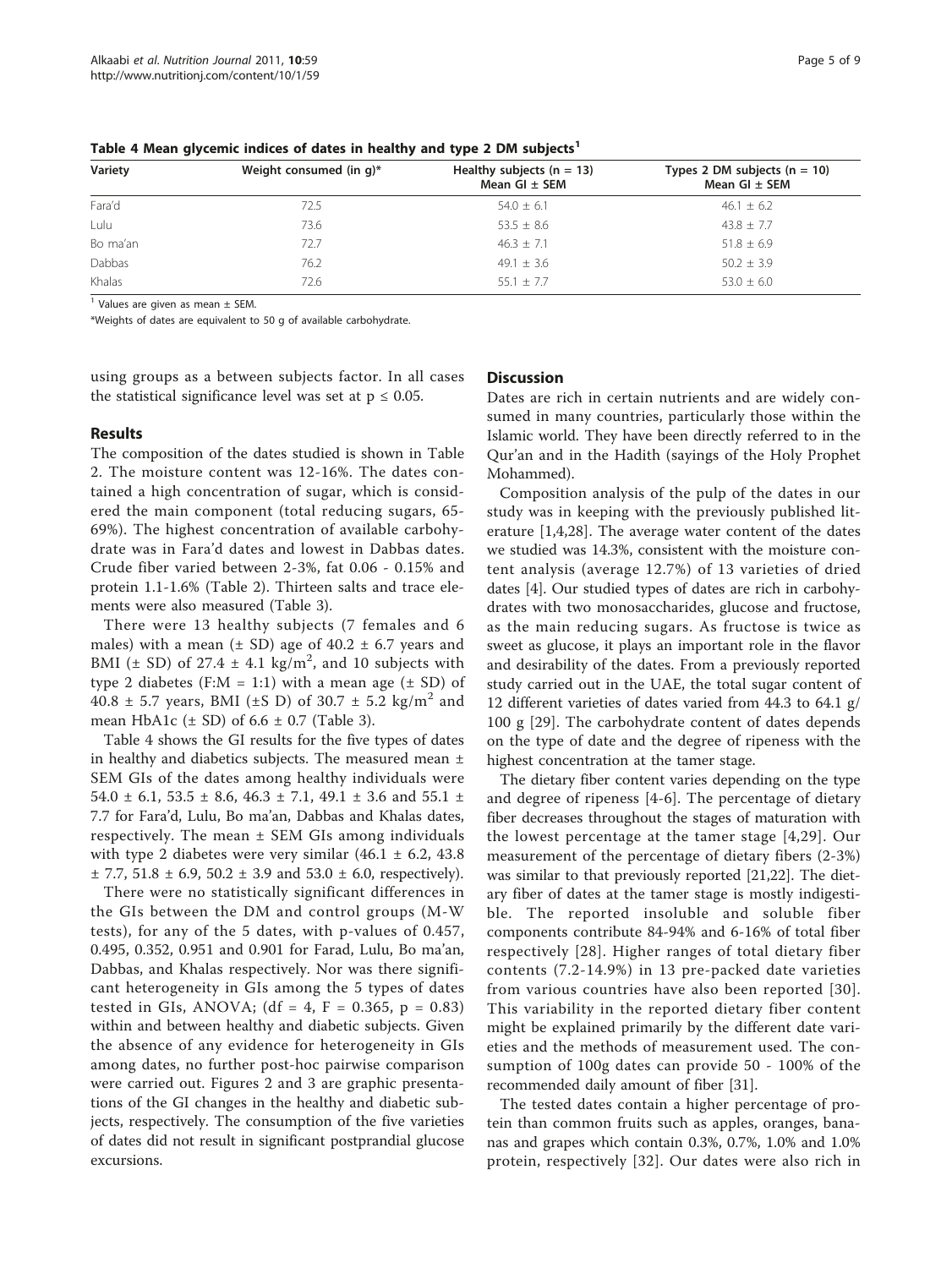| Variety  | Weight consumed (in q)* | Healthy subjects $(n = 13)$<br>Mean GI $\pm$ SEM | Types 2 DM subjects $(n = 10)$<br>Mean $GI \pm SEM$ |
|----------|-------------------------|--------------------------------------------------|-----------------------------------------------------|
| Fara'd   | 72.5                    | $54.0 \pm 6.1$                                   | $46.1 \pm 6.2$                                      |
| Lulu     | 73.6                    | $53.5 \pm 8.6$                                   | $43.8 \pm 7.7$                                      |
| Bo ma'an | 72.7                    | $46.3 + 7.1$                                     | $51.8 \pm 6.9$                                      |
| Dabbas   | 76.2                    | $49.1 \pm 3.6$                                   | $50.2 \pm 3.9$                                      |
| Khalas   | 72.6                    | $55.1 + 7.7$                                     | $53.0 \pm 6.0$                                      |

<span id="page-4-0"></span>Table 4 Mean glycemic indices of dates in healthy and type 2 DM subjects<sup>1</sup>

 $1$  Values are given as mean  $\pm$  SEM.

\*Weights of dates are equivalent to 50 g of available carbohydrate.

using groups as a between subjects factor. In all cases the statistical significance level was set at  $p \leq 0.05$ .

#### Results

The composition of the dates studied is shown in Table [2.](#page-3-0) The moisture content was 12-16%. The dates contained a high concentration of sugar, which is considered the main component (total reducing sugars, 65- 69%). The highest concentration of available carbohydrate was in Fara'd dates and lowest in Dabbas dates. Crude fiber varied between 2-3%, fat 0.06 - 0.15% and protein 1.1-1.6% (Table [2](#page-3-0)). Thirteen salts and trace elements were also measured (Table [3\)](#page-3-0).

There were 13 healthy subjects (7 females and 6 males) with a mean  $(\pm SD)$  age of  $40.2 \pm 6.7$  years and BMI ( $\pm$  SD) of 27.4  $\pm$  4.1 kg/m<sup>2</sup>, and 10 subjects with type 2 diabetes (F:M = 1:1) with a mean age  $(\pm SD)$  of 40.8  $\pm$  5.7 years, BMI ( $\pm$ S D) of 30.7  $\pm$  5.2 kg/m<sup>2</sup> and mean HbA1c  $(\pm SD)$  of 6.6  $\pm$  0.7 (Table [3](#page-3-0)).

Table 4 shows the GI results for the five types of dates in healthy and diabetics subjects. The measured mean ± SEM GIs of the dates among healthy individuals were 54.0 ± 6.1, 53.5 ± 8.6, 46.3 ± 7.1, 49.1 ± 3.6 and 55.1 ± 7.7 for Fara'd, Lulu, Bo ma'an, Dabbas and Khalas dates, respectively. The mean  $\pm$  SEM GIs among individuals with type 2 diabetes were very similar  $(46.1 \pm 6.2, 43.8)$  $\pm$  7.7, 51.8  $\pm$  6.9, 50.2  $\pm$  3.9 and 53.0  $\pm$  6.0, respectively).

There were no statistically significant differences in the GIs between the DM and control groups (M-W tests), for any of the 5 dates, with p-values of 0.457, 0.495, 0.352, 0.951 and 0.901 for Farad, Lulu, Bo ma'an, Dabbas, and Khalas respectively. Nor was there significant heterogeneity in GIs among the 5 types of dates tested in GIs, ANOVA; (df = 4, F = 0.365, p = 0.83) within and between healthy and diabetic subjects. Given the absence of any evidence for heterogeneity in GIs among dates, no further post-hoc pairwise comparison were carried out. Figures [2](#page-5-0) and [3](#page-6-0) are graphic presentations of the GI changes in the healthy and diabetic subjects, respectively. The consumption of the five varieties of dates did not result in significant postprandial glucose excursions.

# **Discussion**

Dates are rich in certain nutrients and are widely consumed in many countries, particularly those within the Islamic world. They have been directly referred to in the Qur'an and in the Hadith (sayings of the Holy Prophet Mohammed).

Composition analysis of the pulp of the dates in our study was in keeping with the previously published literature [[1,4,28](#page-7-0)]. The average water content of the dates we studied was 14.3%, consistent with the moisture content analysis (average 12.7%) of 13 varieties of dried dates [[4\]](#page-7-0). Our studied types of dates are rich in carbohydrates with two monosaccharides, glucose and fructose, as the main reducing sugars. As fructose is twice as sweet as glucose, it plays an important role in the flavor and desirability of the dates. From a previously reported study carried out in the UAE, the total sugar content of 12 different varieties of dates varied from 44.3 to 64.1 g/ 100 g [[29\]](#page-8-0). The carbohydrate content of dates depends on the type of date and the degree of ripeness with the highest concentration at the tamer stage.

The dietary fiber content varies depending on the type and degree of ripeness [[4-6\]](#page-7-0). The percentage of dietary fiber decreases throughout the stages of maturation with the lowest percentage at the tamer stage [[4,](#page-7-0)[29\]](#page-8-0). Our measurement of the percentage of dietary fibers (2-3%) was similar to that previously reported [\[21,22\]](#page-7-0). The dietary fiber of dates at the tamer stage is mostly indigestible. The reported insoluble and soluble fiber components contribute 84-94% and 6-16% of total fiber respectively [[28\]](#page-7-0). Higher ranges of total dietary fiber contents (7.2-14.9%) in 13 pre-packed date varieties from various countries have also been reported [\[30\]](#page-8-0). This variability in the reported dietary fiber content might be explained primarily by the different date varieties and the methods of measurement used. The consumption of 100g dates can provide 50 - 100% of the recommended daily amount of fiber [\[31](#page-8-0)].

The tested dates contain a higher percentage of protein than common fruits such as apples, oranges, bananas and grapes which contain 0.3%, 0.7%, 1.0% and 1.0% protein, respectively [\[32\]](#page-8-0). Our dates were also rich in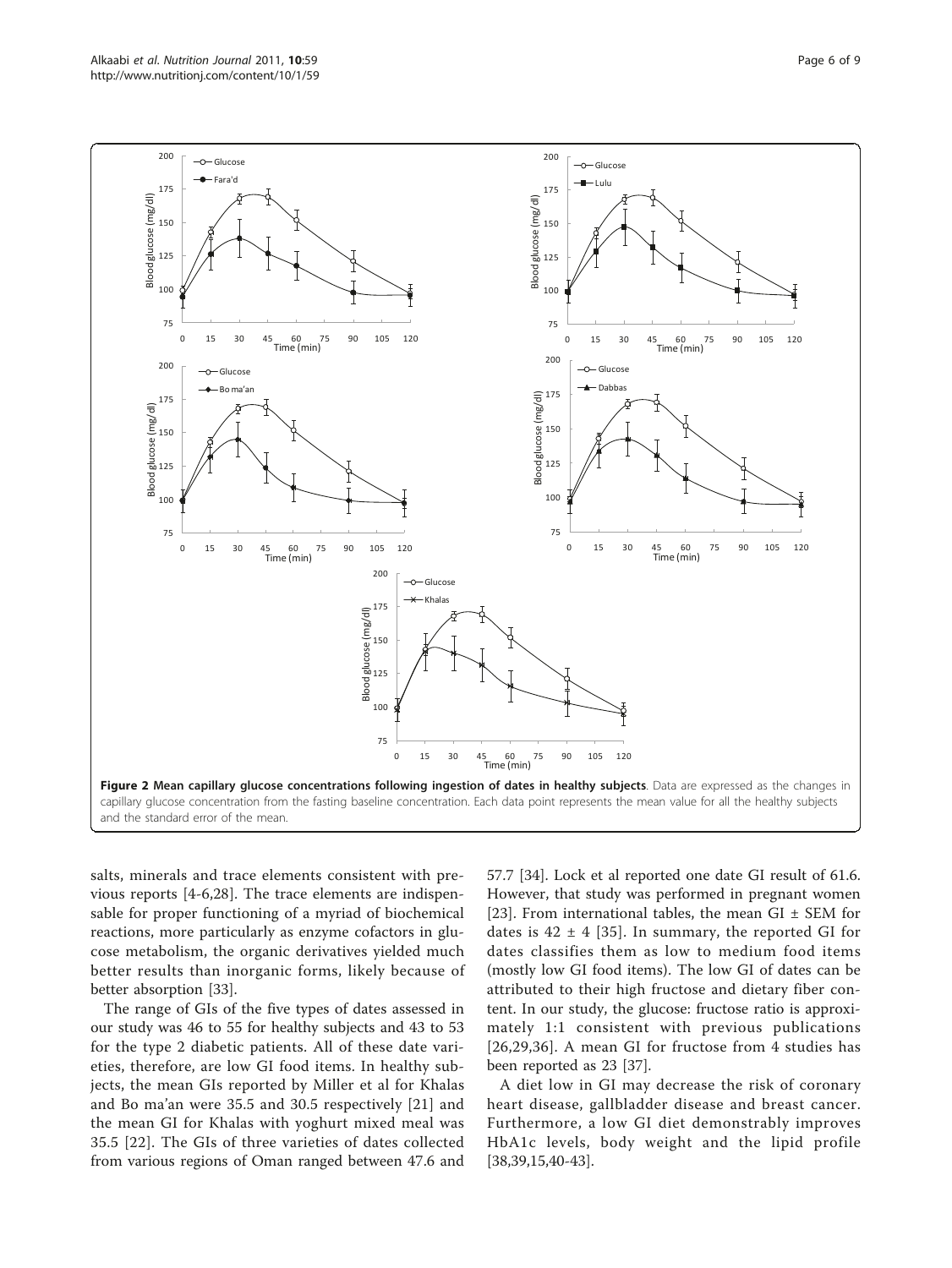<span id="page-5-0"></span>

salts, minerals and trace elements consistent with previous reports [[4-6](#page-7-0),[28](#page-7-0)]. The trace elements are indispensable for proper functioning of a myriad of biochemical reactions, more particularly as enzyme cofactors in glucose metabolism, the organic derivatives yielded much better results than inorganic forms, likely because of better absorption [\[33](#page-8-0)].

The range of GIs of the five types of dates assessed in our study was 46 to 55 for healthy subjects and 43 to 53 for the type 2 diabetic patients. All of these date varieties, therefore, are low GI food items. In healthy subjects, the mean GIs reported by Miller et al for Khalas and Bo ma'an were 35.5 and 30.5 respectively [\[21](#page-7-0)] and the mean GI for Khalas with yoghurt mixed meal was 35.5 [[22](#page-7-0)]. The GIs of three varieties of dates collected from various regions of Oman ranged between 47.6 and 57.7 [\[34\]](#page-8-0). Lock et al reported one date GI result of 61.6. However, that study was performed in pregnant women [[23\]](#page-7-0). From international tables, the mean  $GI \pm SEM$  for dates is  $42 \pm 4$  [\[35\]](#page-8-0). In summary, the reported GI for dates classifies them as low to medium food items (mostly low GI food items). The low GI of dates can be attributed to their high fructose and dietary fiber content. In our study, the glucose: fructose ratio is approximately 1:1 consistent with previous publications [[26](#page-7-0),[29,36\]](#page-8-0). A mean GI for fructose from 4 studies has been reported as 23 [[37](#page-8-0)].

A diet low in GI may decrease the risk of coronary heart disease, gallbladder disease and breast cancer. Furthermore, a low GI diet demonstrably improves HbA1c levels, body weight and the lipid profile [[38,39,](#page-8-0)[15](#page-7-0),[40](#page-8-0)-[43\]](#page-8-0).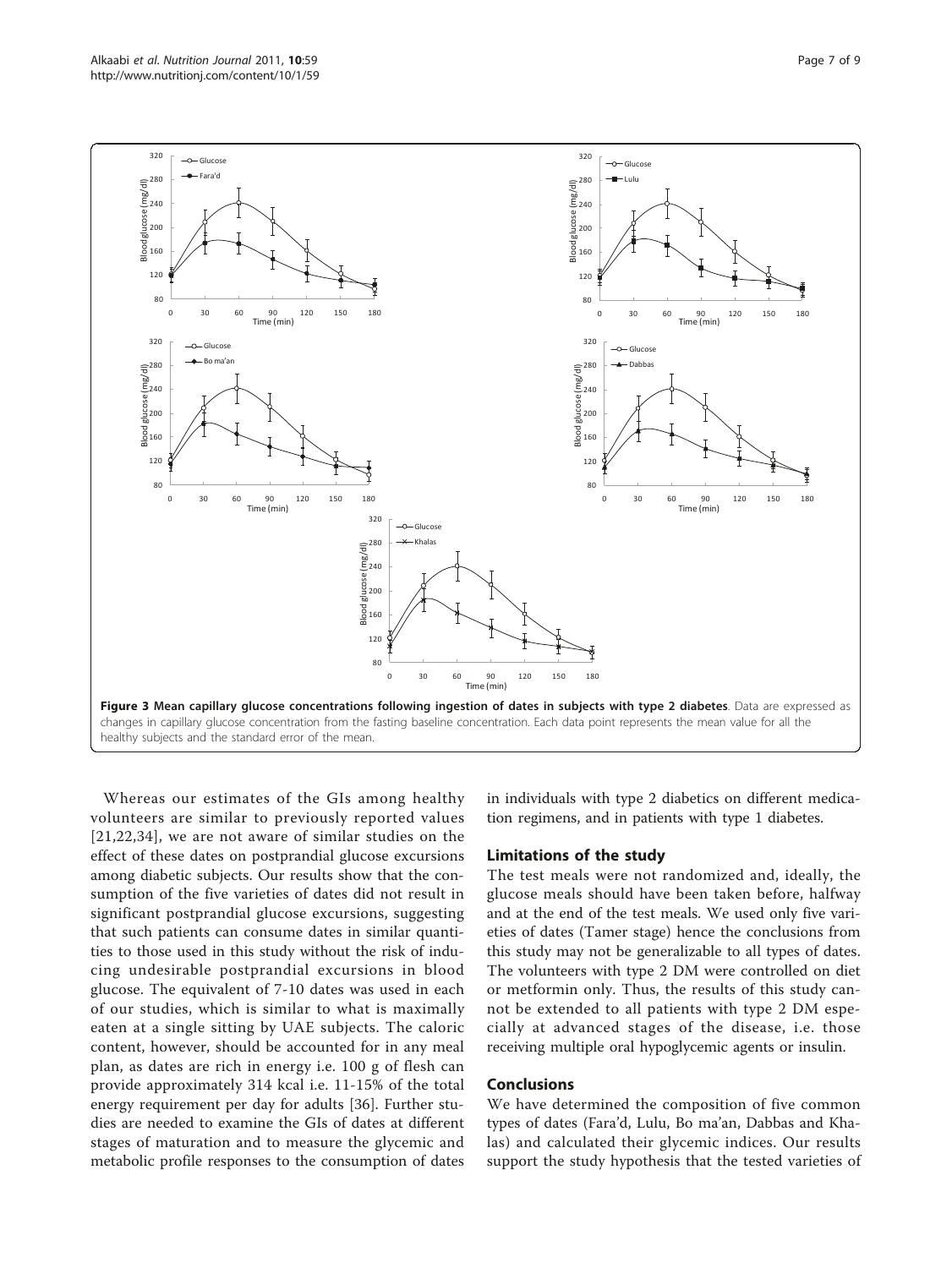<span id="page-6-0"></span>

Whereas our estimates of the GIs among healthy volunteers are similar to previously reported values [[21](#page-7-0),[22](#page-7-0),[34\]](#page-8-0), we are not aware of similar studies on the effect of these dates on postprandial glucose excursions among diabetic subjects. Our results show that the consumption of the five varieties of dates did not result in significant postprandial glucose excursions, suggesting that such patients can consume dates in similar quantities to those used in this study without the risk of inducing undesirable postprandial excursions in blood glucose. The equivalent of 7-10 dates was used in each of our studies, which is similar to what is maximally eaten at a single sitting by UAE subjects. The caloric content, however, should be accounted for in any meal plan, as dates are rich in energy i.e. 100 g of flesh can provide approximately 314 kcal i.e. 11-15% of the total energy requirement per day for adults [[36\]](#page-8-0). Further studies are needed to examine the GIs of dates at different stages of maturation and to measure the glycemic and metabolic profile responses to the consumption of dates in individuals with type 2 diabetics on different medication regimens, and in patients with type 1 diabetes.

#### Limitations of the study

The test meals were not randomized and, ideally, the glucose meals should have been taken before, halfway and at the end of the test meals. We used only five varieties of dates (Tamer stage) hence the conclusions from this study may not be generalizable to all types of dates. The volunteers with type 2 DM were controlled on diet or metformin only. Thus, the results of this study cannot be extended to all patients with type 2 DM especially at advanced stages of the disease, i.e. those receiving multiple oral hypoglycemic agents or insulin.

# Conclusions

We have determined the composition of five common types of dates (Fara'd, Lulu, Bo ma'an, Dabbas and Khalas) and calculated their glycemic indices. Our results support the study hypothesis that the tested varieties of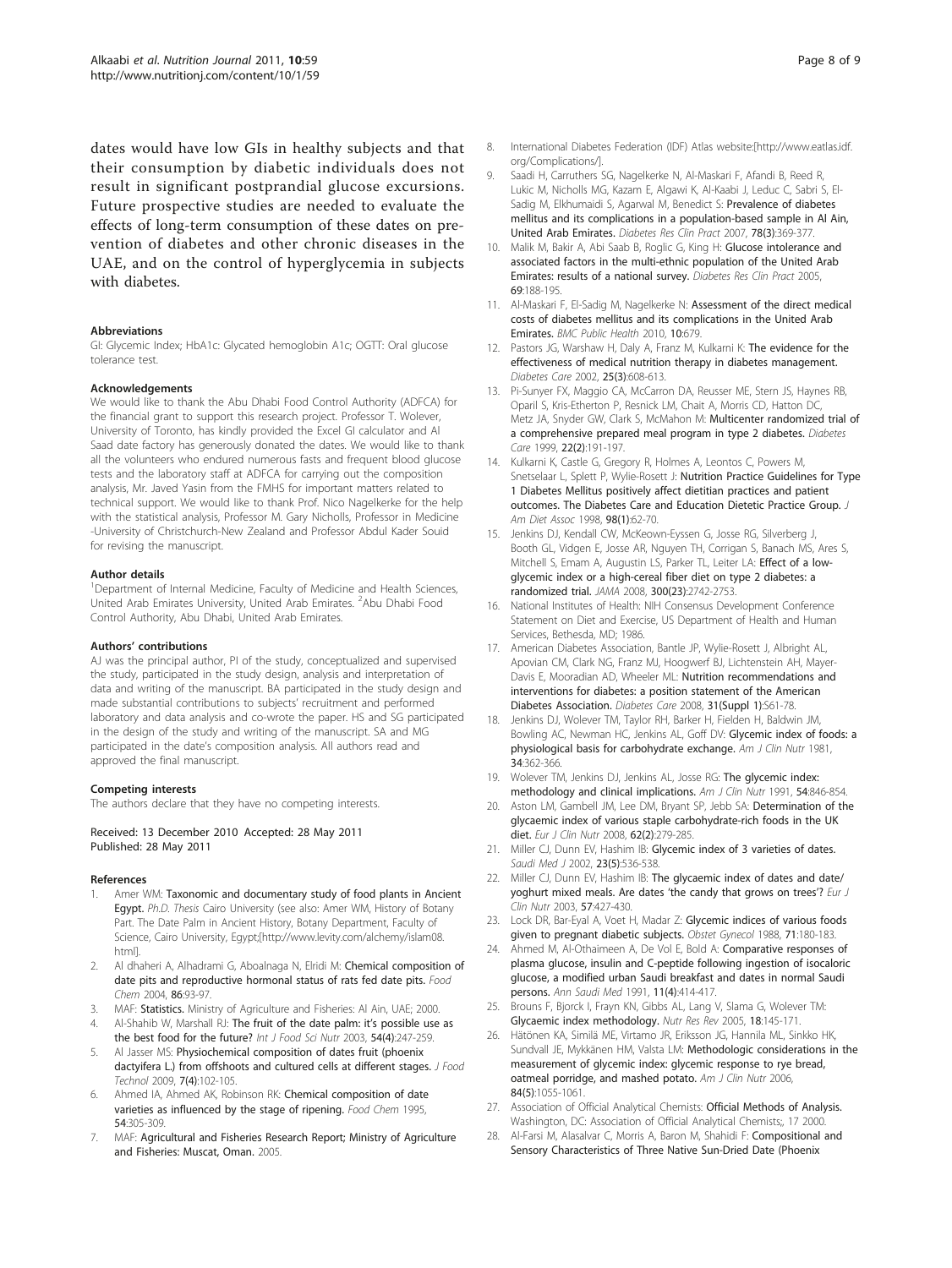<span id="page-7-0"></span>dates would have low GIs in healthy subjects and that their consumption by diabetic individuals does not result in significant postprandial glucose excursions. Future prospective studies are needed to evaluate the effects of long-term consumption of these dates on prevention of diabetes and other chronic diseases in the UAE, and on the control of hyperglycemia in subjects with diabetes.

#### Abbreviations

GI: Glycemic Index; HbA1c: Glycated hemoglobin A1c; OGTT: Oral glucose tolerance test.

#### Acknowledgements

We would like to thank the Abu Dhabi Food Control Authority (ADFCA) for the financial grant to support this research project. Professor T. Wolever, University of Toronto, has kindly provided the Excel GI calculator and Al Saad date factory has generously donated the dates. We would like to thank all the volunteers who endured numerous fasts and frequent blood glucose tests and the laboratory staff at ADFCA for carrying out the composition analysis, Mr. Javed Yasin from the FMHS for important matters related to technical support. We would like to thank Prof. Nico Nagelkerke for the help with the statistical analysis, Professor M. Gary Nicholls, Professor in Medicine -University of Christchurch-New Zealand and Professor Abdul Kader Souid for revising the manuscript.

#### Author details

<sup>1</sup>Department of Internal Medicine, Faculty of Medicine and Health Sciences, United Arab Emirates University, United Arab Emirates. <sup>2</sup>Abu Dhabi Food Control Authority, Abu Dhabi, United Arab Emirates.

#### Authors' contributions

AJ was the principal author, PI of the study, conceptualized and supervised the study, participated in the study design, analysis and interpretation of data and writing of the manuscript. BA participated in the study design and made substantial contributions to subjects' recruitment and performed laboratory and data analysis and co-wrote the paper. HS and SG participated in the design of the study and writing of the manuscript. SA and MG participated in the date's composition analysis. All authors read and approved the final manuscript.

#### Competing interests

The authors declare that they have no competing interests.

Received: 13 December 2010 Accepted: 28 May 2011 Published: 28 May 2011

#### References

- Amer WM: Taxonomic and documentary study of food plants in Ancient Egypt. Ph.D. Thesis Cairo University (see also: Amer WM, History of Botany Part. The Date Palm in Ancient History, Botany Department, Faculty of Science, Cairo University, Egypt;[[http://www.levity.com/alchemy/islam08.](http://www.levity.com/alchemy/islam08.html) [html\]](http://www.levity.com/alchemy/islam08.html).
- 2. Al dhaheri A, Alhadrami G, Aboalnaga N, Elridi M: Chemical composition of date pits and reproductive hormonal status of rats fed date pits. Food Chem 2004, 86:93-97.
- 3. MAF: Statistics. Ministry of Agriculture and Fisheries: Al Ain, UAE; 2000.
- 4. Al-Shahib W, Marshall RJ: [The fruit of the date palm: it](http://www.ncbi.nlm.nih.gov/pubmed/12850886?dopt=Abstract)'s possible use as [the best food for the future?](http://www.ncbi.nlm.nih.gov/pubmed/12850886?dopt=Abstract) Int J Food Sci Nutr 2003, 54(4):247-259.
- 5. Al Jasser MS: Physiochemical composition of dates fruit (phoenix dactyifera L.) from offshoots and cultured cells at different stages. J Food Technol 2009, 7(4):102-105.
- Ahmed IA, Ahmed AK, Robinson RK: Chemical composition of date varieties as influenced by the stage of ripening. Food Chem 1995, 54:305-309.
- 7. MAF: Agricultural and Fisheries Research Report; Ministry of Agriculture and Fisheries: Muscat, Oman. 2005.
- 8. International Diabetes Federation (IDF) Atlas website:[[http://www.eatlas.idf.](http://www.eatlas.idf.org/Complications/) [org/Complications/\]](http://www.eatlas.idf.org/Complications/).
- 9. Saadi H, Carruthers SG, Nagelkerke N, Al-Maskari F, Afandi B, Reed R, Lukic M, Nicholls MG, Kazam E, Algawi K, Al-Kaabi J, Leduc C, Sabri S, El-Sadig M, Elkhumaidi S, Agarwal M, Benedict S: [Prevalence of diabetes](http://www.ncbi.nlm.nih.gov/pubmed/17532085?dopt=Abstract) [mellitus and its complications in a population-based sample in Al Ain,](http://www.ncbi.nlm.nih.gov/pubmed/17532085?dopt=Abstract) [United Arab Emirates.](http://www.ncbi.nlm.nih.gov/pubmed/17532085?dopt=Abstract) Diabetes Res Clin Pract 2007, 78(3):369-377.
- 10. Malik M, Bakir A, Abi Saab B, Roglic G, King H: [Glucose intolerance and](http://www.ncbi.nlm.nih.gov/pubmed/16005369?dopt=Abstract) [associated factors in the multi-ethnic population of the United Arab](http://www.ncbi.nlm.nih.gov/pubmed/16005369?dopt=Abstract) [Emirates: results of a national survey.](http://www.ncbi.nlm.nih.gov/pubmed/16005369?dopt=Abstract) Diabetes Res Clin Pract 2005, 69:188-195.
- 11. Al-Maskari F, El-Sadig M, Nagelkerke N: [Assessment of the direct medical](http://www.ncbi.nlm.nih.gov/pubmed/21059202?dopt=Abstract) [costs of diabetes mellitus and its complications in the United Arab](http://www.ncbi.nlm.nih.gov/pubmed/21059202?dopt=Abstract) [Emirates.](http://www.ncbi.nlm.nih.gov/pubmed/21059202?dopt=Abstract) BMC Public Health 2010, 10:679.
- 12. Pastors JG, Warshaw H, Daly A, Franz M, Kulkarni K: [The evidence for the](http://www.ncbi.nlm.nih.gov/pubmed/11874956?dopt=Abstract) [effectiveness of medical nutrition therapy in diabetes management.](http://www.ncbi.nlm.nih.gov/pubmed/11874956?dopt=Abstract) Diabetes Care 2002, 25(3):608-613.
- 13. Pi-Sunyer FX, Maggio CA, McCarron DA, Reusser ME, Stern JS, Haynes RB, Oparil S, Kris-Etherton P, Resnick LM, Chait A, Morris CD, Hatton DC, Metz JA, Snyder GW, Clark S, McMahon M: [Multicenter randomized trial of](http://www.ncbi.nlm.nih.gov/pubmed/10333932?dopt=Abstract) [a comprehensive prepared meal program in type 2 diabetes.](http://www.ncbi.nlm.nih.gov/pubmed/10333932?dopt=Abstract) Diabetes Care 1999, 22(2):191-197.
- 14. Kulkarni K, Castle G, Gregory R, Holmes A, Leontos C, Powers M, Snetselaar L, Splett P, Wylie-Rosett J: [Nutrition Practice Guidelines for Type](http://www.ncbi.nlm.nih.gov/pubmed/9434653?dopt=Abstract) [1 Diabetes Mellitus positively affect dietitian practices and patient](http://www.ncbi.nlm.nih.gov/pubmed/9434653?dopt=Abstract) [outcomes. The Diabetes Care and Education Dietetic Practice Group.](http://www.ncbi.nlm.nih.gov/pubmed/9434653?dopt=Abstract) J Am Diet Assoc 1998, 98(1):62-70.
- 15. Jenkins DJ, Kendall CW, McKeown-Eyssen G, Josse RG, Silverberg J, Booth GL, Vidgen E, Josse AR, Nguyen TH, Corrigan S, Banach MS, Ares S, Mitchell S, Emam A, Augustin LS, Parker TL, Leiter LA: [Effect of a low](http://www.ncbi.nlm.nih.gov/pubmed/19088352?dopt=Abstract)[glycemic index or a high-cereal fiber diet on type 2 diabetes: a](http://www.ncbi.nlm.nih.gov/pubmed/19088352?dopt=Abstract) [randomized trial.](http://www.ncbi.nlm.nih.gov/pubmed/19088352?dopt=Abstract) JAMA 2008, 300(23):2742-2753.
- 16. National Institutes of Health: NIH Consensus Development Conference Statement on Diet and Exercise, US Department of Health and Human Services, Bethesda, MD; 1986.
- 17. American Diabetes Association, Bantle JP, Wylie-Rosett J, Albright AL, Apovian CM, Clark NG, Franz MJ, Hoogwerf BJ, Lichtenstein AH, Mayer-Davis E, Mooradian AD, Wheeler ML: [Nutrition recommendations and](http://www.ncbi.nlm.nih.gov/pubmed/18165339?dopt=Abstract) [interventions for diabetes: a position statement of the American](http://www.ncbi.nlm.nih.gov/pubmed/18165339?dopt=Abstract) [Diabetes Association.](http://www.ncbi.nlm.nih.gov/pubmed/18165339?dopt=Abstract) Diabetes Care 2008, 31(Suppl 1):S61-78.
- 18. Jenkins DJ, Wolever TM, Taylor RH, Barker H, Fielden H, Baldwin JM, Bowling AC, Newman HC, Jenkins AL, Goff DV: [Glycemic index of foods: a](http://www.ncbi.nlm.nih.gov/pubmed/6259925?dopt=Abstract) [physiological basis for carbohydrate exchange.](http://www.ncbi.nlm.nih.gov/pubmed/6259925?dopt=Abstract) Am J Clin Nutr 1981, 34:362-366.
- 19. Wolever TM, Jenkins DJ, Jenkins AL, Josse RG: [The glycemic index:](http://www.ncbi.nlm.nih.gov/pubmed/1951155?dopt=Abstract) [methodology and clinical implications.](http://www.ncbi.nlm.nih.gov/pubmed/1951155?dopt=Abstract) Am J Clin Nutr 1991, 54:846-854.
- 20. Aston LM, Gambell JM, Lee DM, Bryant SP, Jebb SA: [Determination of the](http://www.ncbi.nlm.nih.gov/pubmed/17426747?dopt=Abstract) [glycaemic index of various staple carbohydrate-rich foods in the UK](http://www.ncbi.nlm.nih.gov/pubmed/17426747?dopt=Abstract) [diet.](http://www.ncbi.nlm.nih.gov/pubmed/17426747?dopt=Abstract) Eur J Clin Nutr 2008, 62(2):279-285.
- 21. Miller CJ, Dunn EV, Hashim IB: [Glycemic index of 3 varieties of dates.](http://www.ncbi.nlm.nih.gov/pubmed/12070575?dopt=Abstract) Saudi Med J 2002, 23(5):536-538.
- 22. Miller CJ, Dunn EV, Hashim IB: [The glycaemic index of dates and date/](http://www.ncbi.nlm.nih.gov/pubmed/12627179?dopt=Abstract) [yoghurt mixed meals. Are dates](http://www.ncbi.nlm.nih.gov/pubmed/12627179?dopt=Abstract) 'the candy that grows on trees'? Eur J Clin Nutr 2003, 57:427-430.
- 23. Lock DR, Bar-Eyal A, Voet H, Madar Z: [Glycemic indices of various foods](http://www.ncbi.nlm.nih.gov/pubmed/3336554?dopt=Abstract) [given to pregnant diabetic subjects.](http://www.ncbi.nlm.nih.gov/pubmed/3336554?dopt=Abstract) Obstet Gynecol 1988, 71:180-183.
- 24. Ahmed M, Al-Othaimeen A, De Vol E, Bold A: [Comparative responses of](http://www.ncbi.nlm.nih.gov/pubmed/17590758?dopt=Abstract) [plasma glucose, insulin and C-peptide following ingestion of isocaloric](http://www.ncbi.nlm.nih.gov/pubmed/17590758?dopt=Abstract) [glucose, a modified urban Saudi breakfast and dates in normal Saudi](http://www.ncbi.nlm.nih.gov/pubmed/17590758?dopt=Abstract) [persons.](http://www.ncbi.nlm.nih.gov/pubmed/17590758?dopt=Abstract) Ann Saudi Med 1991, 11(4):414-417.
- 25. Brouns F, Bjorck I, Frayn KN, Gibbs AL, Lang V, Slama G, Wolever TM: [Glycaemic index methodology.](http://www.ncbi.nlm.nih.gov/pubmed/19079901?dopt=Abstract) Nutr Res Rev 2005, 18:145-171.
- 26. Hätönen KA, Similä ME, Virtamo JR, Eriksson JG, Hannila ML, Sinkko HK, Sundvall JE, Mykkänen HM, Valsta LM: [Methodologic considerations in the](http://www.ncbi.nlm.nih.gov/pubmed/17093157?dopt=Abstract) [measurement of glycemic index: glycemic response to rye bread,](http://www.ncbi.nlm.nih.gov/pubmed/17093157?dopt=Abstract) [oatmeal porridge, and mashed potato.](http://www.ncbi.nlm.nih.gov/pubmed/17093157?dopt=Abstract) Am J Clin Nutr 2006, 84(5):1055-1061.
- 27. Association of Official Analytical Chemists: Official Methods of Analysis. Washington, DC: Association of Official Analytical Chemists;, 17 2000.
- 28. Al-Farsi M, Alasalvar C, Morris A, Baron M, Shahidi F: [Compositional and](http://www.ncbi.nlm.nih.gov/pubmed/16159190?dopt=Abstract) [Sensory Characteristics of Three Native Sun-Dried Date \(Phoenix](http://www.ncbi.nlm.nih.gov/pubmed/16159190?dopt=Abstract)